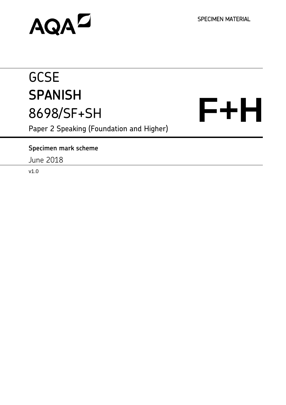SPECIMEN MATERIAL

# **AQAZ**

# **GCSE SPANISH** 8698/SF+SH

**F+H** 

Paper 2 Speaking (Foundation and Higher)

# **Specimen mark scheme**

June 2018

v1.0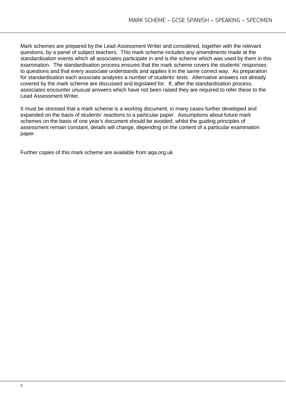Mark schemes are prepared by the Lead Assessment Writer and considered, together with the relevant questions, by a panel of subject teachers. This mark scheme includes any amendments made at the standardisation events which all associates participate in and is the scheme which was used by them in this examination. The standardisation process ensures that the mark scheme covers the students' responses to questions and that every associate understands and applies it in the same correct way. As preparation for standardisation each associate analyses a number of students' tests. Alternative answers not already covered by the mark scheme are discussed and legislated for. If, after the standardisation process, associates encounter unusual answers which have not been raised they are required to refer these to the Lead Assessment Writer.

It must be stressed that a mark scheme is a working document, in many cases further developed and expanded on the basis of students' reactions to a particular paper. Assumptions about future mark schemes on the basis of one year's document should be avoided; whilst the guiding principles of assessment remain constant, details will change, depending on the content of a particular examination paper.

Further copies of this mark scheme are available from aqa.org.uk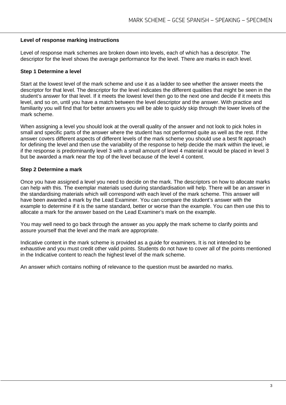#### **Level of response marking instructions**

Level of response mark schemes are broken down into levels, each of which has a descriptor. The descriptor for the level shows the average performance for the level. There are marks in each level.

#### **Step 1 Determine a level**

Start at the lowest level of the mark scheme and use it as a ladder to see whether the answer meets the descriptor for that level. The descriptor for the level indicates the different qualities that might be seen in the student's answer for that level. If it meets the lowest level then go to the next one and decide if it meets this level, and so on, until you have a match between the level descriptor and the answer. With practice and familiarity you will find that for better answers you will be able to quickly skip through the lower levels of the mark scheme.

When assigning a level you should look at the overall quality of the answer and not look to pick holes in small and specific parts of the answer where the student has not performed quite as well as the rest. If the answer covers different aspects of different levels of the mark scheme you should use a best fit approach for defining the level and then use the variability of the response to help decide the mark within the level, ie if the response is predominantly level 3 with a small amount of level 4 material it would be placed in level 3 but be awarded a mark near the top of the level because of the level 4 content.

#### **Step 2 Determine a mark**

Once you have assigned a level you need to decide on the mark. The descriptors on how to allocate marks can help with this. The exemplar materials used during standardisation will help. There will be an answer in the standardising materials which will correspond with each level of the mark scheme. This answer will have been awarded a mark by the Lead Examiner. You can compare the student's answer with the example to determine if it is the same standard, better or worse than the example. You can then use this to allocate a mark for the answer based on the Lead Examiner's mark on the example.

You may well need to go back through the answer as you apply the mark scheme to clarify points and assure yourself that the level and the mark are appropriate.

Indicative content in the mark scheme is provided as a guide for examiners. It is not intended to be exhaustive and you must credit other valid points. Students do not have to cover all of the points mentioned in the Indicative content to reach the highest level of the mark scheme.

An answer which contains nothing of relevance to the question must be awarded no marks.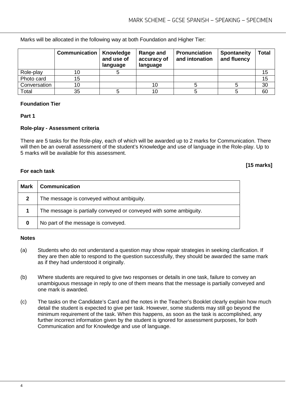Marks will be allocated in the following way at both Foundation and Higher Tier:

|              | <b>Communication</b> | Knowledge<br>and use of<br>language | Range and<br>accuracy of<br>language | <b>Pronunciation</b><br>and intonation | <b>Spontaneity</b><br>and fluency | <b>Total</b> |
|--------------|----------------------|-------------------------------------|--------------------------------------|----------------------------------------|-----------------------------------|--------------|
| Role-play    |                      |                                     |                                      |                                        |                                   | 15           |
| Photo card   | 15                   |                                     |                                      |                                        |                                   | 15           |
| Conversation | 10                   |                                     | 10                                   |                                        |                                   | 30           |
| Total        | 35                   |                                     | 10                                   |                                        |                                   | 60           |

#### **Foundation Tier**

**For each task**

#### **Part 1**

#### **Role-play - Assessment criteria**

There are 5 tasks for the Role-play, each of which will be awarded up to 2 marks for Communication. There will then be an overall assessment of the student's Knowledge and use of language in the Role-play. Up to 5 marks will be available for this assessment.

# **[15 marks]**

| <b>Mark</b> | <b>Communication</b>                                               |
|-------------|--------------------------------------------------------------------|
|             | The message is conveyed without ambiguity.                         |
|             | The message is partially conveyed or conveyed with some ambiguity. |
| 0           | No part of the message is conveyed.                                |

#### **Notes**

- (a) Students who do not understand a question may show repair strategies in seeking clarification. If they are then able to respond to the question successfully, they should be awarded the same mark as if they had understood it originally.
- (b) Where students are required to give two responses or details in one task, failure to convey an unambiguous message in reply to one of them means that the message is partially conveyed and one mark is awarded.
- (c) The tasks on the Candidate's Card and the notes in the Teacher's Booklet clearly explain how much detail the student is expected to give per task. However, some students may still go beyond the minimum requirement of the task. When this happens, as soon as the task is accomplished, any further incorrect information given by the student is ignored for assessment purposes, for both Communication and for Knowledge and use of language.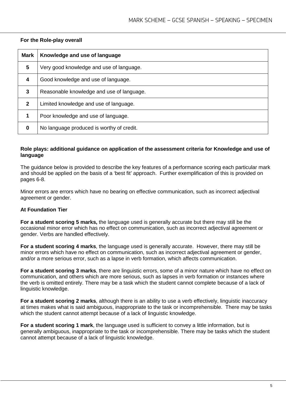| <b>Mark</b>  | Knowledge and use of language             |
|--------------|-------------------------------------------|
| 5            | Very good knowledge and use of language.  |
| 4            | Good knowledge and use of language.       |
| 3            | Reasonable knowledge and use of language. |
| $\mathbf{2}$ | Limited knowledge and use of language.    |
| 1            | Poor knowledge and use of language.       |
| 0            | No language produced is worthy of credit. |

# **For the Role-play overall**

#### **Role plays: additional guidance on application of the assessment criteria for Knowledge and use of language**

The guidance below is provided to describe the key features of a performance scoring each particular mark and should be applied on the basis of a 'best fit' approach. Further exemplification of this is provided on pages 6-8.

Minor errors are errors which have no bearing on effective communication, such as incorrect adjectival agreement or gender.

#### **At Foundation Tier**

**For a student scoring 5 marks,** the language used is generally accurate but there may still be the occasional minor error which has no effect on communication, such as incorrect adjectival agreement or gender. Verbs are handled effectively.

**For a student scoring 4 marks**, the language used is generally accurate. However, there may still be minor errors which have no effect on communication, such as incorrect adjectival agreement or gender, and/or a more serious error, such as a lapse in verb formation, which affects communication.

**For a student scoring 3 marks**, there are linguistic errors, some of a minor nature which have no effect on communication, and others which are more serious, such as lapses in verb formation or instances where the verb is omitted entirely. There may be a task which the student cannot complete because of a lack of linguistic knowledge.

**For a student scoring 2 marks**, although there is an ability to use a verb effectively, linguistic inaccuracy at times makes what is said ambiguous, inappropriate to the task or incomprehensible. There may be tasks which the student cannot attempt because of a lack of linguistic knowledge.

**For a student scoring 1 mark**, the language used is sufficient to convey a little information, but is generally ambiguous, inappropriate to the task or incomprehensible. There may be tasks which the student cannot attempt because of a lack of linguistic knowledge.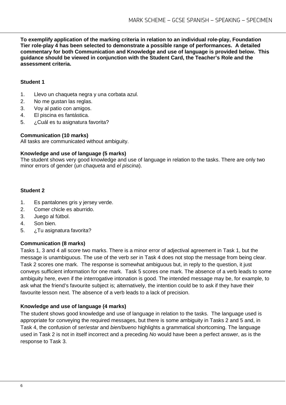**To exemplify application of the marking criteria in relation to an individual role-play, Foundation Tier role-play 4 has been selected to demonstrate a possible range of performances. A detailed commentary for both Communication and Knowledge and use of language is provided below. This guidance should be viewed in conjunction with the Student Card, the Teacher's Role and the assessment criteria.**

### **Student 1**

- 1. Llevo un chaqueta negra y una corbata azul.
- 2. No me gustan las reglas.
- 3. Voy al patio con amigos.
- 4. El piscina es fantástica.
- 5. ¿Cuál es tu asignatura favorita?

# **Communication (10 marks)**

All tasks are communicated without ambiguity.

#### **Knowledge and use of language (5 marks)**

The student shows very good knowledge and use of language in relation to the tasks. There are only two minor errors of gender (*un chaqueta* and *el piscina*).

# **Student 2**

- 1. Es pantalones gris y jersey verde.
- 2. Comer chicle es aburrido.
- 3. Juego al fútbol.
- 4. Son bien.
- 5. *i***Tu asignatura favorita?**

# **Communication (8 marks)**

Tasks 1, 3 and 4 all score two marks. There is a minor error of adjectival agreement in Task 1, but the message is unambiguous. The use of the verb *ser* in Task 4 does not stop the message from being clear. Task 2 scores one mark. The response is somewhat ambiguous but, in reply to the question, it just conveys sufficient information for one mark. Task 5 scores one mark. The absence of a verb leads to some ambiguity here, even if the interrogative intonation is good. The intended message may be, for example, to ask what the friend's favourite subject is; alternatively, the intention could be to ask if they have their favourite lesson next. The absence of a verb leads to a lack of precision.

# **Knowledge and use of language (4 marks)**

The student shows good knowledge and use of language in relation to the tasks. The language used is appropriate for conveying the required messages, but there is some ambiguity in Tasks 2 and 5 and, in Task 4, the confusion of *ser*/*estar* and *bien*/*bueno* highlights a grammatical shortcoming. The language used in Task 2 is not in itself incorrect and a preceding *No* would have been a perfect answer, as is the response to Task 3.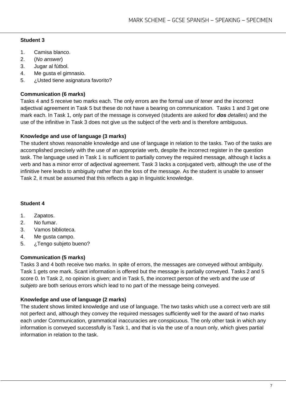- 1. Camisa blanco.
- 2. (*No answer*)
- 3. Jugar al fútbol.
- 4. Me gusta el gimnasio.
- 5. ¿Usted tiene asignatura favorito?

# **Communication (6 marks)**

Tasks 4 and 5 receive two marks each. The only errors are the formal use of *tener* and the incorrect adjectival agreement in Task 5 but these do not have a bearing on communication. Tasks 1 and 3 get one mark each. In Task 1, only part of the message is conveyed (students are asked for *dos detalles*) and the use of the infinitive in Task 3 does not give us the subject of the verb and is therefore ambiguous.

# **Knowledge and use of language (3 marks)**

The student shows reasonable knowledge and use of language in relation to the tasks. Two of the tasks are accomplished precisely with the use of an appropriate verb, despite the incorrect register in the question task. The language used in Task 1 is sufficient to partially convey the required message, although it lacks a verb and has a minor error of adjectival agreement. Task 3 lacks a conjugated verb, although the use of the infinitive here leads to ambiguity rather than the loss of the message. As the student is unable to answer Task 2, it must be assumed that this reflects a gap in linguistic knowledge.

# **Student 4**

- 1. Zapatos.
- 2. No fumar.
- 3. Vamos biblioteca.
- 4. Me gusta campo.
- 5. ¿Tengo subjeto bueno?

# **Communication (5 marks)**

Tasks 3 and 4 both receive two marks. In spite of errors, the messages are conveyed without ambiguity. Task 1 gets one mark. Scant information is offered but the message is partially conveyed. Tasks 2 and 5 score 0. In Task 2, no opinion is given; and in Task 5, the incorrect person of the verb and the use of *subjeto* are both serious errors which lead to no part of the message being conveyed.

# **Knowledge and use of language (2 marks)**

The student shows limited knowledge and use of language. The two tasks which use a correct verb are still not perfect and, although they convey the required messages sufficiently well for the award of two marks each under Communication, grammatical inaccuracies are conspicuous. The only other task in which any information is conveyed successfully is Task 1, and that is via the use of a noun only, which gives partial information in relation to the task.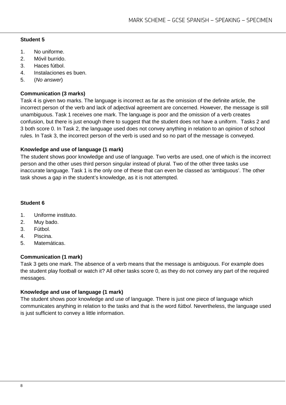- 1. No uniforme.
- 2. Móvil burrido.
- 3. Haces fútbol.
- 4. Instalaciones es buen.
- 5. (*No answer*)

#### **Communication (3 marks)**

Task 4 is given two marks. The language is incorrect as far as the omission of the definite article, the incorrect person of the verb and lack of adjectival agreement are concerned. However, the message is still unambiguous. Task 1 receives one mark. The language is poor and the omission of a verb creates confusion, but there is just enough there to suggest that the student does not have a uniform. Tasks 2 and 3 both score 0. In Task 2, the language used does not convey anything in relation to an opinion of school rules. In Task 3, the incorrect person of the verb is used and so no part of the message is conveyed.

#### **Knowledge and use of language (1 mark)**

The student shows poor knowledge and use of language. Two verbs are used, one of which is the incorrect person and the other uses third person singular instead of plural. Two of the other three tasks use inaccurate language. Task 1 is the only one of these that can even be classed as 'ambiguous'. The other task shows a gap in the student's knowledge, as it is not attempted.

#### **Student 6**

- 1. Uniforme instituto.
- 2. Muy bado.
- 3. Fútbol.
- 4. Piscina.
- 5. Matemáticas.

#### **Communication (1 mark)**

Task 3 gets one mark. The absence of a verb means that the message is ambiguous. For example does the student play football or watch it? All other tasks score 0, as they do not convey any part of the required messages.

#### **Knowledge and use of language (1 mark)**

The student shows poor knowledge and use of language. There is just one piece of language which communicates anything in relation to the tasks and that is the word *fútbol*. Nevertheless, the language used is just sufficient to convey a little information.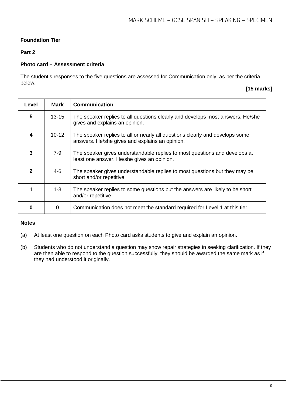# **Foundation Tier**

#### **Part 2**

#### **Photo card – Assessment criteria**

The student's responses to the five questions are assessed for Communication only, as per the criteria below.

#### **[15 marks]**

| Level | <b>Mark</b> | <b>Communication</b>                                                                                                           |
|-------|-------------|--------------------------------------------------------------------------------------------------------------------------------|
| 5     | $13 - 15$   | The speaker replies to all questions clearly and develops most answers. He/she<br>gives and explains an opinion.               |
| 4     | $10 - 12$   | The speaker replies to all or nearly all questions clearly and develops some<br>answers. He/she gives and explains an opinion. |
| 3     | 7-9         | The speaker gives understandable replies to most questions and develops at<br>least one answer. He/she gives an opinion.       |
| 2     | $4-6$       | The speaker gives understandable replies to most questions but they may be<br>short and/or repetitive.                         |
|       | $1 - 3$     | The speaker replies to some questions but the answers are likely to be short<br>and/or repetitive.                             |
|       | $\Omega$    | Communication does not meet the standard required for Level 1 at this tier.                                                    |

#### **Notes**

- (a) At least one question on each Photo card asks students to give and explain an opinion.
- (b) Students who do not understand a question may show repair strategies in seeking clarification. If they are then able to respond to the question successfully, they should be awarded the same mark as if they had understood it originally.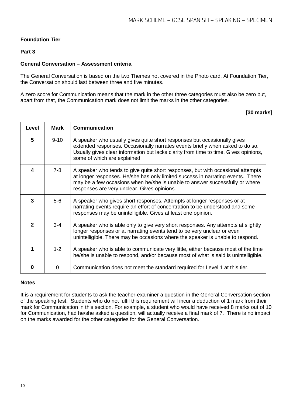#### **Foundation Tier**

#### **Part 3**

#### **General Conversation – Assessment criteria**

The General Conversation is based on the two Themes not covered in the Photo card. At Foundation Tier, the Conversation should last between three and five minutes.

A zero score for Communication means that the mark in the other three categories must also be zero but, apart from that, the Communication mark does not limit the marks in the other categories.

#### **[30 marks]**

| Level        | <b>Mark</b> | <b>Communication</b>                                                                                                                                                                                                                                                                              |
|--------------|-------------|---------------------------------------------------------------------------------------------------------------------------------------------------------------------------------------------------------------------------------------------------------------------------------------------------|
| 5            | $9 - 10$    | A speaker who usually gives quite short responses but occasionally gives<br>extended responses. Occasionally narrates events briefly when asked to do so.<br>Usually gives clear information but lacks clarity from time to time. Gives opinions,<br>some of which are explained.                 |
| 4            | $7-8$       | A speaker who tends to give quite short responses, but with occasional attempts<br>at longer responses. He/she has only limited success in narrating events. There<br>may be a few occasions when he/she is unable to answer successfully or-where<br>responses are very unclear. Gives opinions. |
| 3            | $5-6$       | A speaker who gives short responses. Attempts at longer responses or at<br>narrating events require an effort of concentration to be understood and some<br>responses may be unintelligible. Gives at least one opinion.                                                                          |
| $\mathbf{p}$ | $3 - 4$     | A speaker who is able only to give very short responses. Any attempts at slightly<br>longer responses or at narrating events tend to be very unclear or even<br>unintelligible. There may be occasions where the speaker is unable to respond.                                                    |
| 1            | $1 - 2$     | A speaker who is able to communicate very little, either because most of the time<br>he/she is unable to respond, and/or because most of what is said is unintelligible.                                                                                                                          |
| n            | 0           | Communication does not meet the standard required for Level 1 at this tier.                                                                                                                                                                                                                       |

#### **Notes**

It is a requirement for students to ask the teacher-examiner a question in the General Conversation section of the speaking test. Students who do not fulfil this requirement will incur a deduction of 1 mark from their mark for Communication in this section. For example, a student who would have received 8 marks out of 10 for Communication, had he/she asked a question, will actually receive a final mark of 7. There is no impact on the marks awarded for the other categories for the General Conversation.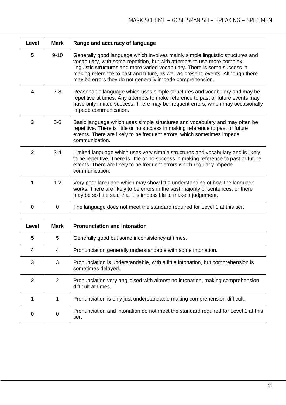| Level        | <b>Mark</b> | Range and accuracy of language                                                                                                                                                                                                                                                                                                                                                          |
|--------------|-------------|-----------------------------------------------------------------------------------------------------------------------------------------------------------------------------------------------------------------------------------------------------------------------------------------------------------------------------------------------------------------------------------------|
| 5            | $9 - 10$    | Generally good language which involves mainly simple linguistic structures and<br>vocabulary, with some repetition, but with attempts to use more complex<br>linguistic structures and more varied vocabulary. There is some success in<br>making reference to past and future, as well as present, events. Although there<br>may be errors they do not generally impede comprehension. |
| 4            | $7-8$       | Reasonable language which uses simple structures and vocabulary and may be<br>repetitive at times. Any attempts to make reference to past or future events may<br>have only limited success. There may be frequent errors, which may occasionally<br>impede communication.                                                                                                              |
| 3            | $5-6$       | Basic language which uses simple structures and vocabulary and may often be<br>repetitive. There is little or no success in making reference to past or future<br>events. There are likely to be frequent errors, which sometimes impede<br>communication.                                                                                                                              |
| $\mathbf{2}$ | $3 - 4$     | Limited language which uses very simple structures and vocabulary and is likely<br>to be repetitive. There is little or no success in making reference to past or future<br>events. There are likely to be frequent errors which regularly impede<br>communication.                                                                                                                     |
|              | $1 - 2$     | Very poor language which may show little understanding of how the language<br>works. There are likely to be errors in the vast majority of sentences, or there<br>may be so little said that it is impossible to make a judgement.                                                                                                                                                      |
| 0            | $\Omega$    | The language does not meet the standard required for Level 1 at this tier.                                                                                                                                                                                                                                                                                                              |

| Level          | <b>Mark</b> | <b>Pronunciation and intonation</b>                                                                   |
|----------------|-------------|-------------------------------------------------------------------------------------------------------|
| 5              | 5           | Generally good but some inconsistency at times.                                                       |
| 4              | 4           | Pronunciation generally understandable with some intonation.                                          |
| 3              | 3           | Pronunciation is understandable, with a little intonation, but comprehension is<br>sometimes delayed. |
| $\mathfrak{p}$ | 2           | Pronunciation very anglicised with almost no intonation, making comprehension<br>difficult at times.  |
|                | 1           | Pronunciation is only just understandable making comprehension difficult.                             |
| 0              | 0           | Pronunciation and intonation do not meet the standard required for Level 1 at this<br>tier.           |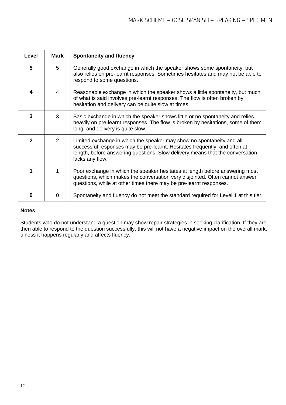| Level        | Mark           | <b>Spontaneity and fluency</b>                                                                                                                                                                                                                          |
|--------------|----------------|---------------------------------------------------------------------------------------------------------------------------------------------------------------------------------------------------------------------------------------------------------|
| 5            | 5.             | Generally good exchange in which the speaker shows some spontaneity, but<br>also relies on pre-learnt responses. Sometimes hesitates and may not be able to<br>respond to some questions.                                                               |
| 4            | 4              | Reasonable exchange in which the speaker shows a little spontaneity, but much<br>of what is said involves pre-learnt responses. The flow is often broken by<br>hesitation and delivery can be quite slow at times.                                      |
| 3            | 3              | Basic exchange in which the speaker shows little or no spontaneity and relies<br>heavily on pre-learnt responses. The flow is broken by hesitations, some of them<br>long, and delivery is quite slow.                                                  |
| $\mathbf{2}$ | $\overline{2}$ | Limited exchange in which the speaker may show no spontaneity and all<br>successful responses may be pre-learnt. Hesitates frequently, and often at<br>length, before answering questions. Slow delivery means that the conversation<br>lacks any flow. |
|              |                | Poor exchange in which the speaker hesitates at length before answering most<br>questions, which makes the conversation very disjointed. Often cannot answer<br>questions, while at other times there may be pre-learnt responses.                      |
| n            | 0              | Spontaneity and fluency do not meet the standard required for Level 1 at this tier.                                                                                                                                                                     |

# **Notes**

Students who do not understand a question may show repair strategies in seeking clarification. If they are then able to respond to the question successfully, this will not have a negative impact on the overall mark, unless it happens regularly and affects fluency.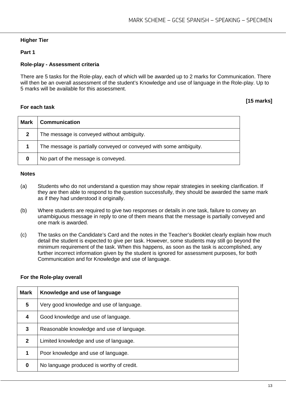#### **Higher Tier**

#### **Part 1**

#### **Role-play - Assessment criteria**

There are 5 tasks for the Role-play, each of which will be awarded up to 2 marks for Communication. There will then be an overall assessment of the student's Knowledge and use of language in the Role-play. Up to 5 marks will be available for this assessment.

#### **For each task**

# **[15 marks]**

| <b>Mark</b> | <b>Communication</b>                                               |
|-------------|--------------------------------------------------------------------|
| າ           | The message is conveyed without ambiguity.                         |
|             | The message is partially conveyed or conveyed with some ambiguity. |
| 0           | No part of the message is conveyed.                                |

#### **Notes**

- (a) Students who do not understand a question may show repair strategies in seeking clarification. If they are then able to respond to the question successfully, they should be awarded the same mark as if they had understood it originally.
- (b) Where students are required to give two responses or details in one task, failure to convey an unambiguous message in reply to one of them means that the message is partially conveyed and one mark is awarded.
- (c) The tasks on the Candidate's Card and the notes in the Teacher's Booklet clearly explain how much detail the student is expected to give per task. However, some students may still go beyond the minimum requirement of the task. When this happens, as soon as the task is accomplished, any further incorrect information given by the student is ignored for assessment purposes, for both Communication and for Knowledge and use of language.

#### **For the Role-play overall**

| <b>Mark</b>  | Knowledge and use of language             |
|--------------|-------------------------------------------|
| 5            | Very good knowledge and use of language.  |
| 4            | Good knowledge and use of language.       |
| 3            | Reasonable knowledge and use of language. |
| $\mathbf{2}$ | Limited knowledge and use of language.    |
| 1            | Poor knowledge and use of language.       |
| 0            | No language produced is worthy of credit. |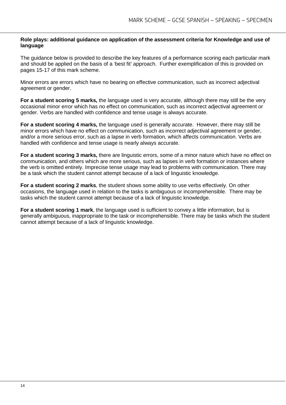#### **Role plays: additional guidance on application of the assessment criteria for Knowledge and use of language**

The guidance below is provided to describe the key features of a performance scoring each particular mark and should be applied on the basis of a 'best fit' approach. Further exemplification of this is provided on pages 15-17 of this mark scheme.

Minor errors are errors which have no bearing on effective communication, such as incorrect adjectival agreement or gender.

**For a student scoring 5 marks,** the language used is very accurate, although there may still be the very occasional minor error which has no effect on communication, such as incorrect adjectival agreement or gender. Verbs are handled with confidence and tense usage is always accurate.

**For a student scoring 4 marks,** the language used is generally accurate. However, there may still be minor errors which have no effect on communication, such as incorrect adjectival agreement or gender, and/or a more serious error, such as a lapse in verb formation, which affects communication. Verbs are handled with confidence and tense usage is nearly always accurate.

**For a student scoring 3 marks,** there are linguistic errors, some of a minor nature which have no effect on communication, and others which are more serious, such as lapses in verb formation or instances where the verb is omitted entirely. Imprecise tense usage may lead to problems with communication. There may be a task which the student cannot attempt because of a lack of linguistic knowledge.

**For a student scoring 2 marks**, the student shows some ability to use verbs effectively. On other occasions, the language used in relation to the tasks is ambiguous or incomprehensible. There may be tasks which the student cannot attempt because of a lack of linguistic knowledge.

**For a student scoring 1 mark**, the language used is sufficient to convey a little information, but is generally ambiguous, inappropriate to the task or incomprehensible. There may be tasks which the student cannot attempt because of a lack of linguistic knowledge.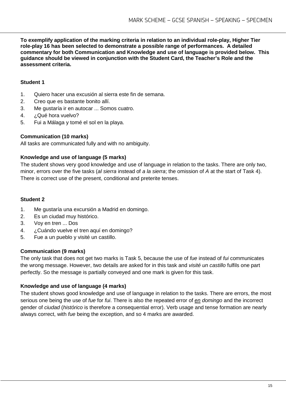**To exemplify application of the marking criteria in relation to an individual role-play, Higher Tier role-play 16 has been selected to demonstrate a possible range of performances. A detailed commentary for both Communication and Knowledge and use of language is provided below. This guidance should be viewed in conjunction with the Student Card, the Teacher's Role and the assessment criteria.**

#### **Student 1**

- 1. Quiero hacer una excusión al sierra este fin de semana.
- 2. Creo que es bastante bonito allí.
- 3. Me gustaría ir en autocar ... Somos cuatro.
- 4. ¿Qué hora vuelvo?
- 5. Fui a Málaga y tomé el sol en la playa.

#### **Communication (10 marks)**

All tasks are communicated fully and with no ambiguity.

#### **Knowledge and use of language (5 marks)**

The student shows very good knowledge and use of language in relation to the tasks. There are only two, minor, errors over the five tasks (*al sierra* instead of *a la sierra*; the omission of *A* at the start of Task 4). There is correct use of the present, conditional and preterite tenses.

#### **Student 2**

- 1. Me gustaría una excursión a Madrid en domingo.
- 2. Es un ciudad muy histórico.
- 3. Voy en tren ... Dos
- 4. ¿Cuándo vuelve el tren aquí en domingo?
- 5. Fue a un pueblo y visité un castillo.

#### **Communication (9 marks)**

The only task that does not get two marks is Task 5, because the use of *fue* instead of *fui* communicates the wrong message. However, two details are asked for in this task and *visité un castillo* fulfils one part perfectly. So the message is partially conveyed and one mark is given for this task.

#### **Knowledge and use of language (4 marks)**

The student shows good knowledge and use of language in relation to the tasks. There are errors, the most serious one being the use of *fue* for *fui*. There is also the repeated error of *en domingo* and the incorrect gender of *ciudad* (*histórico* is therefore a consequential error). Verb usage and tense formation are nearly always correct, with *fue* being the exception, and so 4 marks are awarded.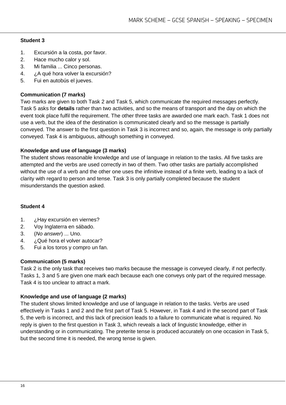- 1. Excursión a la costa, por favor.
- 2. Hace mucho calor y sol.
- 3. Mi familia ... Cinco personas.
- 4. *i* A qué hora volver la excursión?
- 5. Fui en autobús el jueves.

# **Communication (7 marks)**

Two marks are given to both Task 2 and Task 5, which communicate the required messages perfectly. Task 5 asks for **details** rather than two activities, and so the means of transport and the day on which the event took place fulfil the requirement. The other three tasks are awarded one mark each. Task 1 does not use a verb, but the idea of the destination is communicated clearly and so the message is partially conveyed. The answer to the first question in Task 3 is incorrect and so, again, the message is only partially conveyed. Task 4 is ambiguous, although something in conveyed.

#### **Knowledge and use of language (3 marks)**

The student shows reasonable knowledge and use of language in relation to the tasks. All five tasks are attempted and the verbs are used correctly in two of them. Two other tasks are partially accomplished without the use of a verb and the other one uses the infinitive instead of a finite verb, leading to a lack of clarity with regard to person and tense. Task 3 is only partially completed because the student misunderstands the question asked.

#### **Student 4**

- 1. ¿Hay excursión en viernes?
- 2. Voy Inglaterra en sábado.
- 3. (*No answer*) ... Uno.
- 4. ¿Qué hora el volver autocar?
- 5. Fui a los toros y compro un fan.

# **Communication (5 marks)**

Task 2 is the only task that receives two marks because the message is conveyed clearly, if not perfectly. Tasks 1, 3 and 5 are given one mark each because each one conveys only part of the required message. Task 4 is too unclear to attract a mark.

# **Knowledge and use of language (2 marks)**

The student shows limited knowledge and use of language in relation to the tasks. Verbs are used effectively in Tasks 1 and 2 and the first part of Task 5. However, in Task 4 and in the second part of Task 5, the verb is incorrect, and this lack of precision leads to a failure to communicate what is required. No reply is given to the first question in Task 3, which reveals a lack of linguistic knowledge, either in understanding or in communicating. The preterite tense is produced accurately on one occasion in Task 5, but the second time it is needed, the wrong tense is given.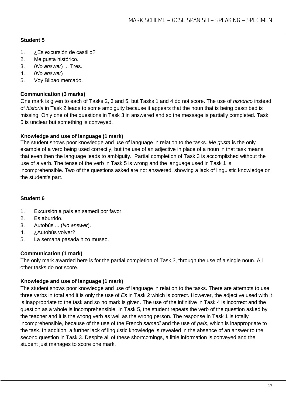- 1. ¿Es excursión de castillo?
- 2. Me gusta histórico.
- 3. (*No answer*) ... Tres.
- 4. (*No answer*)
- 5. Voy Bilbao mercado.

#### **Communication (3 marks)**

One mark is given to each of Tasks 2, 3 and 5, but Tasks 1 and 4 do not score. The use of *histórico* instead of *historia* in Task 2 leads to some ambiguity because it appears that the noun that is being described is missing. Only one of the questions in Task 3 in answered and so the message is partially completed. Task 5 is unclear but something is conveyed.

#### **Knowledge and use of language (1 mark)**

The student shows poor knowledge and use of language in relation to the tasks. *Me gusta* is the only example of a verb being used correctly, but the use of an adjective in place of a noun in that task means that even then the language leads to ambiguity. Partial completion of Task 3 is accomplished without the use of a verb. The tense of the verb in Task 5 is wrong and the language used in Task 1 is incomprehensible. Two of the questions asked are not answered, showing a lack of linguistic knowledge on the student's part.

#### **Student 6**

- 1. Excursión a país en samedi por favor.
- 2. Es aburrido.
- 3. Autobús ... (*No answer*).
- 4. ¿Autobús volver?
- 5. La semana pasada hizo museo.

#### **Communication (1 mark)**

The only mark awarded here is for the partial completion of Task 3, through the use of a single noun. All other tasks do not score.

#### **Knowledge and use of language (1 mark)**

The student shows poor knowledge and use of language in relation to the tasks. There are attempts to use three verbs in total and it is only the use of *Es* in Task 2 which is correct. However, the adjective used with it is inappropriate to the task and so no mark is given. The use of the infinitive in Task 4 is incorrect and the question as a whole is incomprehensible. In Task 5, the student repeats the verb of the question asked by the teacher and it is the wrong verb as well as the wrong person. The response in Task 1 is totally incomprehensible, because of the use of the French *samedi* and the use of *país*, which is inappropriate to the task. In addition, a further lack of linguistic knowledge is revealed in the absence of an answer to the second question in Task 3. Despite all of these shortcomings, a little information is conveyed and the student just manages to score one mark.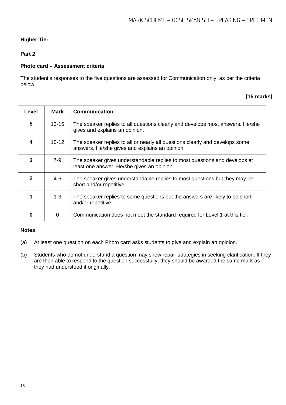# **Higher Tier**

### **Part 2**

#### **Photo card – Assessment criteria**

The student's responses to the five questions are assessed for Communication only, as per the criteria below.

#### **[15 marks]**

| Level | Mark      | <b>Communication</b>                                                                                                           |
|-------|-----------|--------------------------------------------------------------------------------------------------------------------------------|
| 5     | $13 - 15$ | The speaker replies to all questions clearly and develops most answers. He/she<br>gives and explains an opinion.               |
| 4     | $10 - 12$ | The speaker replies to all or nearly all questions clearly and develops some<br>answers. He/she gives and explains an opinion. |
| 3     | 7-9       | The speaker gives understandable replies to most questions and develops at<br>least one answer. He/she gives an opinion.       |
| 2     | $4-6$     | The speaker gives understandable replies to most questions but they may be<br>short and/or repetitive.                         |
|       | $1 - 3$   | The speaker replies to some questions but the answers are likely to be short<br>and/or repetitive.                             |
|       | $\Omega$  | Communication does not meet the standard required for Level 1 at this tier.                                                    |

#### **Notes**

- (a) At least one question on each Photo card asks students to give and explain an opinion.
- (b) Students who do not understand a question may show repair strategies in seeking clarification. If they are then able to respond to the question successfully, they should be awarded the same mark as if they had understood it originally.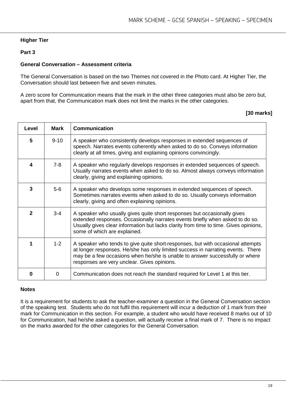#### **Higher Tier**

#### **Part 3**

#### **General Conversation – Assessment criteria**

The General Conversation is based on the two Themes not covered in the Photo card. At Higher Tier, the Conversation should last between five and seven minutes.

A zero score for Communication means that the mark in the other three categories must also be zero but, apart from that, the Communication mark does not limit the marks in the other categories.

#### **[30 marks]**

| Level        | <b>Mark</b> | Communication                                                                                                                                                                                                                                                                                     |
|--------------|-------------|---------------------------------------------------------------------------------------------------------------------------------------------------------------------------------------------------------------------------------------------------------------------------------------------------|
| 5            | $9 - 10$    | A speaker who consistently develops responses in extended sequences of<br>speech. Narrates events coherently when asked to do so. Conveys information<br>clearly at all times, giving and explaining opinions convincingly.                                                                       |
| 4            | 7-8         | A speaker who regularly develops responses in extended sequences of speech.<br>Usually narrates events when asked to do so. Almost always conveys information<br>clearly, giving and explaining opinions.                                                                                         |
| 3            | $5-6$       | A speaker who develops some responses in extended sequences of speech.<br>Sometimes narrates events when asked to do so. Usually conveys information<br>clearly, giving and often explaining opinions.                                                                                            |
| $\mathbf{2}$ | $3 - 4$     | A speaker who usually gives quite short responses but occasionally gives<br>extended responses. Occasionally narrates events briefly when asked to do so.<br>Usually gives clear information but lacks clarity from time to time. Gives opinions,<br>some of which are explained.                 |
|              | $1 - 2$     | A speaker who tends to give quite short-responses, but with occasional attempts<br>at longer responses. He/she has only limited success in narrating events. There<br>may be a few occasions when he/she is unable to answer successfully or where<br>responses are very unclear. Gives opinions. |
| O            | $\Omega$    | Communication does not reach the standard required for Level 1 at this tier.                                                                                                                                                                                                                      |

#### **Notes**

It is a requirement for students to ask the teacher-examiner a question in the General Conversation section of the speaking test. Students who do not fulfil this requirement will incur a deduction of 1 mark from their mark for Communication in this section. For example, a student who would have received 8 marks out of 10 for Communication, had he/she asked a question, will actually receive a final mark of 7. There is no impact on the marks awarded for the other categories for the General Conversation.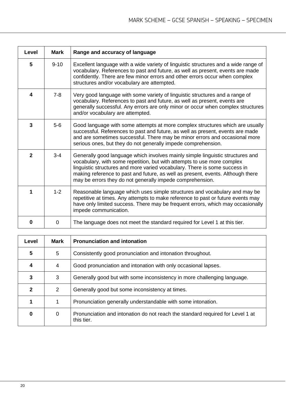| <b>Level</b> | <b>Mark</b> | Range and accuracy of language                                                                                                                                                                                                                                                                                                                                                          |
|--------------|-------------|-----------------------------------------------------------------------------------------------------------------------------------------------------------------------------------------------------------------------------------------------------------------------------------------------------------------------------------------------------------------------------------------|
| 5            | $9 - 10$    | Excellent language with a wide variety of linguistic structures and a wide range of<br>vocabulary. References to past and future, as well as present, events are made<br>confidently. There are few minor errors and other errors occur when complex<br>structures and/or vocabulary are attempted.                                                                                     |
| 4            | $7 - 8$     | Very good language with some variety of linguistic structures and a range of<br>vocabulary. References to past and future, as well as present, events are<br>generally successful. Any errors are only minor or occur when complex structures<br>and/or vocabulary are attempted.                                                                                                       |
| 3            | $5-6$       | Good language with some attempts at more complex structures which are usually<br>successful. References to past and future, as well as present, events are made<br>and are sometimes successful. There may be minor errors and occasional more<br>serious ones, but they do not generally impede comprehension.                                                                         |
| $\mathbf{2}$ | $3 - 4$     | Generally good language which involves mainly simple linguistic structures and<br>vocabulary, with some repetition, but with attempts to use more complex<br>linguistic structures and more varied vocabulary. There is some success in<br>making reference to past and future, as well as present, events. Although there<br>may be errors they do not generally impede comprehension. |
| 1            | $1 - 2$     | Reasonable language which uses simple structures and vocabulary and may be<br>repetitive at times. Any attempts to make reference to past or future events may<br>have only limited success. There may be frequent errors, which may occasionally<br>impede communication.                                                                                                              |
| 0            | 0           | The language does not meet the standard required for Level 1 at this tier.                                                                                                                                                                                                                                                                                                              |

| Level | Mark           | <b>Pronunciation and intonation</b>                                                          |
|-------|----------------|----------------------------------------------------------------------------------------------|
| 5     | 5              | Consistently good pronunciation and intonation throughout.                                   |
|       | 4              | Good pronunciation and intonation with only occasional lapses.                               |
| 3     | 3              | Generally good but with some inconsistency in more challenging language.                     |
| 2     | $\overline{2}$ | Generally good but some inconsistency at times.                                              |
|       | 1              | Pronunciation generally understandable with some intonation.                                 |
| 0     | 0              | Pronunciation and intonation do not reach the standard required for Level 1 at<br>this tier. |